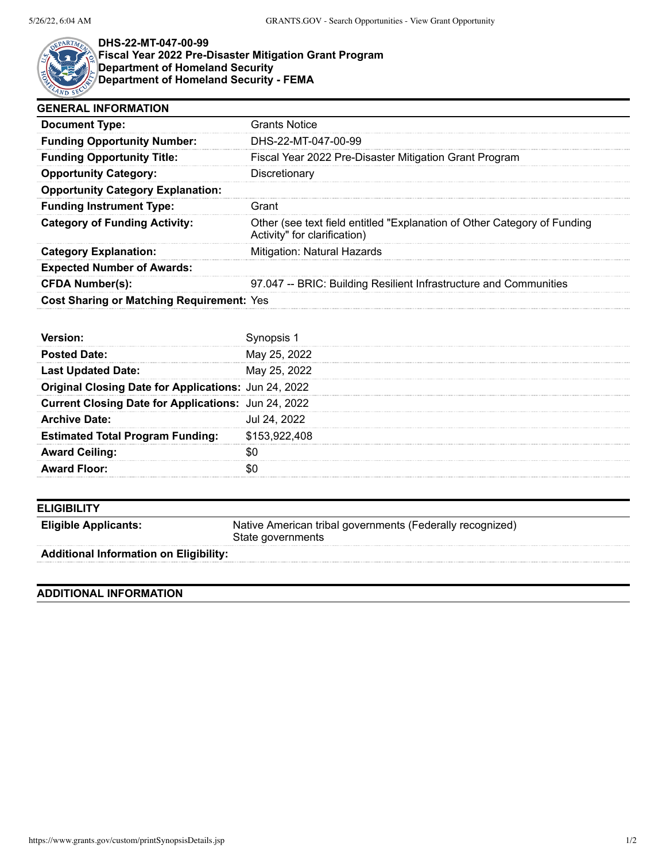

## **DHS-22-MT-047-00-99 Fiscal Year 2022 Pre-Disaster Mitigation Grant Program Department of Homeland Security Department of Homeland Security - FEMA**

| <b>GENERAL INFORMATION</b>                       |                                                                                                          |  |  |
|--------------------------------------------------|----------------------------------------------------------------------------------------------------------|--|--|
| <b>Document Type:</b>                            | <b>Grants Notice</b>                                                                                     |  |  |
| <b>Funding Opportunity Number:</b>               | DHS-22-MT-047-00-99                                                                                      |  |  |
| <b>Funding Opportunity Title:</b>                | Fiscal Year 2022 Pre-Disaster Mitigation Grant Program                                                   |  |  |
| <b>Opportunity Category:</b>                     | Discretionary                                                                                            |  |  |
| <b>Opportunity Category Explanation:</b>         |                                                                                                          |  |  |
| <b>Funding Instrument Type:</b>                  | Grant                                                                                                    |  |  |
| <b>Category of Funding Activity:</b>             | Other (see text field entitled "Explanation of Other Category of Funding<br>Activity" for clarification) |  |  |
| <b>Category Explanation:</b>                     | Mitigation: Natural Hazards                                                                              |  |  |
| <b>Expected Number of Awards:</b>                |                                                                                                          |  |  |
| <b>CFDA Number(s):</b>                           | 97.047 -- BRIC: Building Resilient Infrastructure and Communities                                        |  |  |
| <b>Cost Sharing or Matching Requirement: Yes</b> |                                                                                                          |  |  |
|                                                  |                                                                                                          |  |  |

| <b>Posted Date:</b>                                  | May 25, 2022  |
|------------------------------------------------------|---------------|
| <b>Last Updated Date:</b>                            | May 25, 2022  |
| Original Closing Date for Applications: Jun 24, 2022 |               |
| Current Closing Date for Applications: Jun 24, 2022  |               |
| <b>Archive Date:</b>                                 | Jul 24, 2022  |
| <b>Estimated Total Program Funding:</b>              | \$153,922,408 |
| <b>Award Ceiling:</b>                                |               |
| <b>Award Floor:</b>                                  |               |

| <b>ELIGIBILITY</b> |
|--------------------|
|                    |

**Eligible Applicants:** Native American tribal governments (Federally recognized) State governments

**Additional Information on Eligibility:**

## **ADDITIONAL INFORMATION**